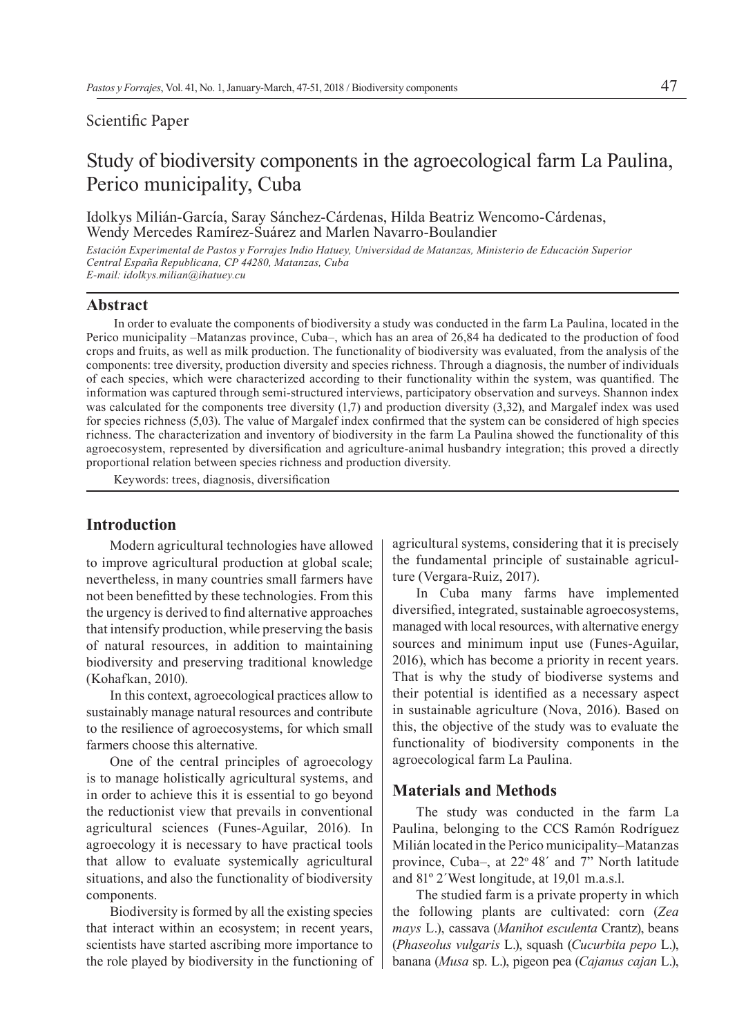## Scientific Paper

# Study of biodiversity components in the agroecological farm La Paulina, Perico municipality, Cuba

Idolkys Milián-García, Saray Sánchez-Cárdenas, Hilda Beatriz Wencomo-Cárdenas, Wendy Mercedes Ramírez-Suárez and Marlen Navarro-Boulandier

*Estación Experimental de Pastos y Forrajes Indio Hatuey, Universidad de Matanzas, Ministerio de Educación Superior Central España Republicana, CP 44280, Matanzas, Cuba E-mail: idolkys.milian@ihatuey.cu*

#### **Abstract**

In order to evaluate the components of biodiversity a study was conducted in the farm La Paulina, located in the Perico municipality –Matanzas province, Cuba–, which has an area of 26,84 ha dedicated to the production of food crops and fruits, as well as milk production. The functionality of biodiversity was evaluated, from the analysis of the components: tree diversity, production diversity and species richness. Through a diagnosis, the number of individuals of each species, which were characterized according to their functionality within the system, was quantified. The information was captured through semi-structured interviews, participatory observation and surveys. Shannon index was calculated for the components tree diversity (1,7) and production diversity (3,32), and Margalef index was used for species richness (5,03). The value of Margalef index confirmed that the system can be considered of high species richness. The characterization and inventory of biodiversity in the farm La Paulina showed the functionality of this agroecosystem, represented by diversification and agriculture-animal husbandry integration; this proved a directly proportional relation between species richness and production diversity.

Keywords: trees, diagnosis, diversification

## **Introduction**

Modern agricultural technologies have allowed to improve agricultural production at global scale; nevertheless, in many countries small farmers have not been benefitted by these technologies. From this the urgency is derived to find alternative approaches that intensify production, while preserving the basis of natural resources, in addition to maintaining biodiversity and preserving traditional knowledge (Kohafkan, 2010).

In this context, agroecological practices allow to sustainably manage natural resources and contribute to the resilience of agroecosystems, for which small farmers choose this alternative.

One of the central principles of agroecology is to manage holistically agricultural systems, and in order to achieve this it is essential to go beyond the reductionist view that prevails in conventional agricultural sciences (Funes-Aguilar, 2016). In agroecology it is necessary to have practical tools that allow to evaluate systemically agricultural situations, and also the functionality of biodiversity components.

Biodiversity is formed by all the existing species that interact within an ecosystem; in recent years, scientists have started ascribing more importance to the role played by biodiversity in the functioning of

agricultural systems, considering that it is precisely the fundamental principle of sustainable agriculture (Vergara-Ruiz, 2017).

In Cuba many farms have implemented diversified, integrated, sustainable agroecosystems, managed with local resources, with alternative energy sources and minimum input use (Funes-Aguilar, 2016), which has become a priority in recent years. That is why the study of biodiverse systems and their potential is identified as a necessary aspect in sustainable agriculture (Nova, 2016). Based on this, the objective of the study was to evaluate the functionality of biodiversity components in the agroecological farm La Paulina.

## **Materials and Methods**

The study was conducted in the farm La Paulina, belonging to the CCS Ramón Rodríguez Milián located in the Perico municipality–Matanzas province, Cuba–, at  $22^{\circ}$  48<sup> $\prime$ </sup> and 7<sup> $\prime$ </sup> North latitude and 81º 2´West longitude, at 19,01 m.a.s.l.

The studied farm is a private property in which the following plants are cultivated: corn (*Zea mays* L.), cassava (*Manihot esculenta* Crantz), beans (*Phaseolus vulgaris* L.), squash (*Cucurbita pepo* L.), banana (*Musa* sp. L.), pigeon pea (*Cajanus cajan* L.),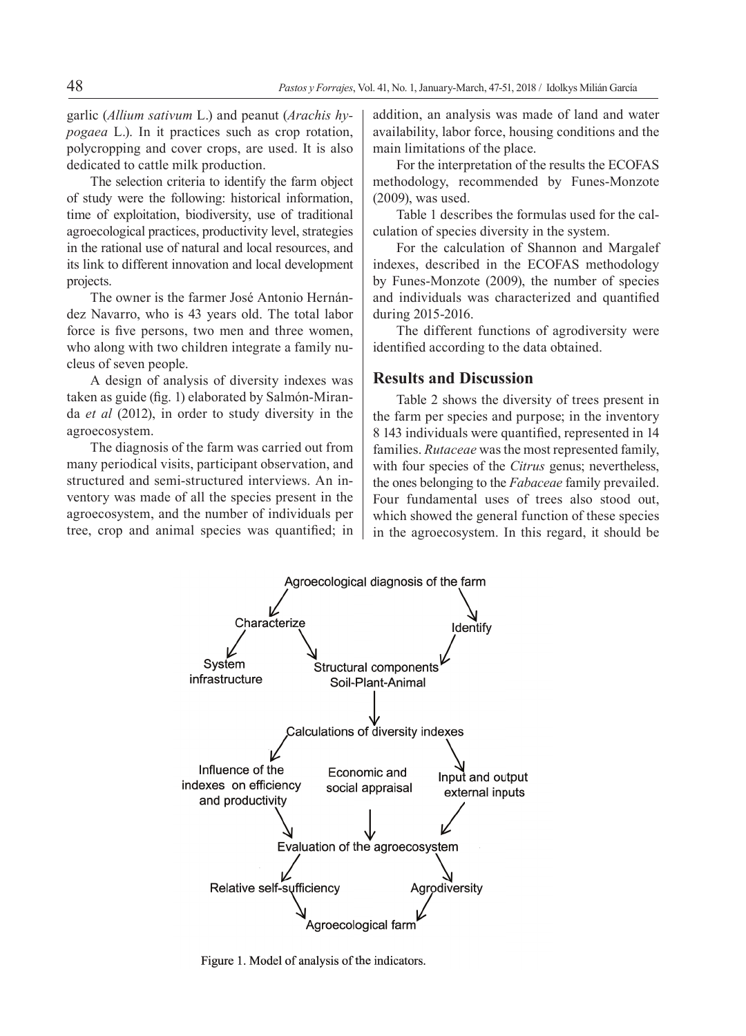garlic (*Allium sativum* L.) and peanut (*Arachis hypogaea* L.). In it practices such as crop rotation, polycropping and cover crops, are used. It is also dedicated to cattle milk production.

The selection criteria to identify the farm object of study were the following: historical information, time of exploitation, biodiversity, use of traditional agroecological practices, productivity level, strategies in the rational use of natural and local resources, and its link to different innovation and local development projects.

The owner is the farmer José Antonio Hernández Navarro, who is 43 years old. The total labor force is five persons, two men and three women, who along with two children integrate a family nucleus of seven people.

A design of analysis of diversity indexes was taken as guide (fig. 1) elaborated by Salmón-Miranda *et al* (2012), in order to study diversity in the agroecosystem.

The diagnosis of the farm was carried out from many periodical visits, participant observation, and structured and semi-structured interviews. An inventory was made of all the species present in the agroecosystem, and the number of individuals per tree, crop and animal species was quantified; in addition, an analysis was made of land and water availability, labor force, housing conditions and the main limitations of the place.

For the interpretation of the results the ECOFAS methodology, recommended by Funes-Monzote (2009), was used.

Table 1 describes the formulas used for the calculation of species diversity in the system.

For the calculation of Shannon and Margalef indexes, described in the ECOFAS methodology by Funes-Monzote (2009), the number of species and individuals was characterized and quantified during 2015-2016.

The different functions of agrodiversity were identified according to the data obtained.

### **Results and Discussion**

Table 2 shows the diversity of trees present in the farm per species and purpose; in the inventory 8 143 individuals were quantified, represented in 14 families. *Rutaceae* was the most represented family, with four species of the *Citrus* genus; nevertheless, the ones belonging to the *Fabaceae* family prevailed. Four fundamental uses of trees also stood out, which showed the general function of these species in the agroecosystem. In this regard, it should be



Figure 1. Model of analysis of the indicators.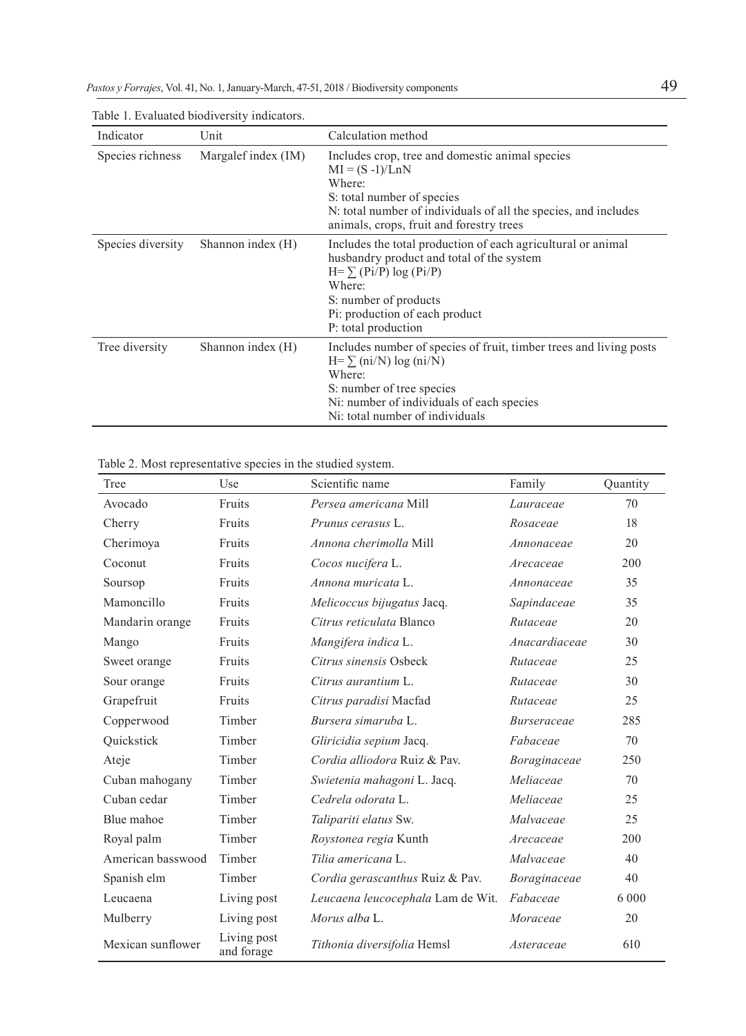| Indicator         | Unit                | Calculation method                                                                                                                                                                                                                     |
|-------------------|---------------------|----------------------------------------------------------------------------------------------------------------------------------------------------------------------------------------------------------------------------------------|
| Species richness  | Margalef index (IM) | Includes crop, tree and domestic animal species<br>$MI = (S - 1)/LnN$<br>Where:<br>S: total number of species<br>N: total number of individuals of all the species, and includes<br>animals, crops, fruit and forestry trees           |
| Species diversity | Shannon index (H)   | Includes the total production of each agricultural or animal<br>husbandry product and total of the system<br>$H = \sum (Pi/P) \log (Pi/P)$<br>Where:<br>S: number of products<br>Pi: production of each product<br>P: total production |
| Tree diversity    | Shannon index (H)   | Includes number of species of fruit, timber trees and living posts<br>$H = \sum (ni/N) \log (ni/N)$<br>Where:<br>S: number of tree species<br>Ni: number of individuals of each species<br>Ni: total number of individuals             |

Table 1. Evaluated biodiversity indicators.

Table 2. Most representative species in the studied system.

| Tree              | Use                       | Scientific name                   | Family        | Quantity |
|-------------------|---------------------------|-----------------------------------|---------------|----------|
| Avocado           | Fruits                    | Persea americana Mill             | Lauraceae     | 70       |
| Cherry            | Fruits                    | Prunus cerasus L.                 | Rosaceae      | 18       |
| Cherimoya         | Fruits                    | Annona cherimolla Mill            | Annonaceae    | 20       |
| Coconut           | Fruits                    | Cocos nucifera L.                 | Arecaceae     | 200      |
| Soursop           | Fruits                    | Annona muricata L.                | Annonaceae    | 35       |
| Mamoncillo        | Fruits                    | Melicoccus bijugatus Jacq.        | Sapindaceae   | 35       |
| Mandarin orange   | Fruits                    | Citrus reticulata Blanco          | Rutaceae      | 20       |
| Mango             | Fruits                    | Mangifera indica L.               | Anacardiaceae | 30       |
| Sweet orange      | Fruits                    | Citrus sinensis Osbeck            | Rutaceae      | 25       |
| Sour orange       | Fruits                    | Citrus aurantium L.               | Rutaceae      | 30       |
| Grapefruit        | Fruits                    | Citrus paradisi Macfad            | Rutaceae      | 25       |
| Copperwood        | Timber                    | Bursera simaruba L.               | Burseraceae   | 285      |
| Ouickstick        | Timber                    | Gliricidia sepium Jacq.           | Fabaceae      | 70       |
| Ateje             | Timber                    | Cordia alliodora Ruiz & Pay.      | Boraginaceae  | 250      |
| Cuban mahogany    | Timber                    | Swietenia mahagoni L. Jacq.       | Meliaceae     | 70       |
| Cuban cedar       | Timber                    | Cedrela odorata L.                | Meliaceae     | 25       |
| Blue mahoe        | Timber                    | Talipariti elatus Sw.             | Malvaceae     | 25       |
| Royal palm        | Timber                    | Roystonea regia Kunth             | Arecaceae     | 200      |
| American basswood | Timber                    | Tilia americana L.                | Malvaceae     | 40       |
| Spanish elm       | Timber                    | Cordia gerascanthus Ruiz & Pav.   | Boraginaceae  | 40       |
| Leucaena          | Living post               | Leucaena leucocephala Lam de Wit. | Fabaceae      | 6 0 0 0  |
| Mulberry          | Living post               | Morus alba L.                     | Moraceae      | 20       |
| Mexican sunflower | Living post<br>and forage | Tithonia diversifolia Hemsl       | Asteraceae    | 610      |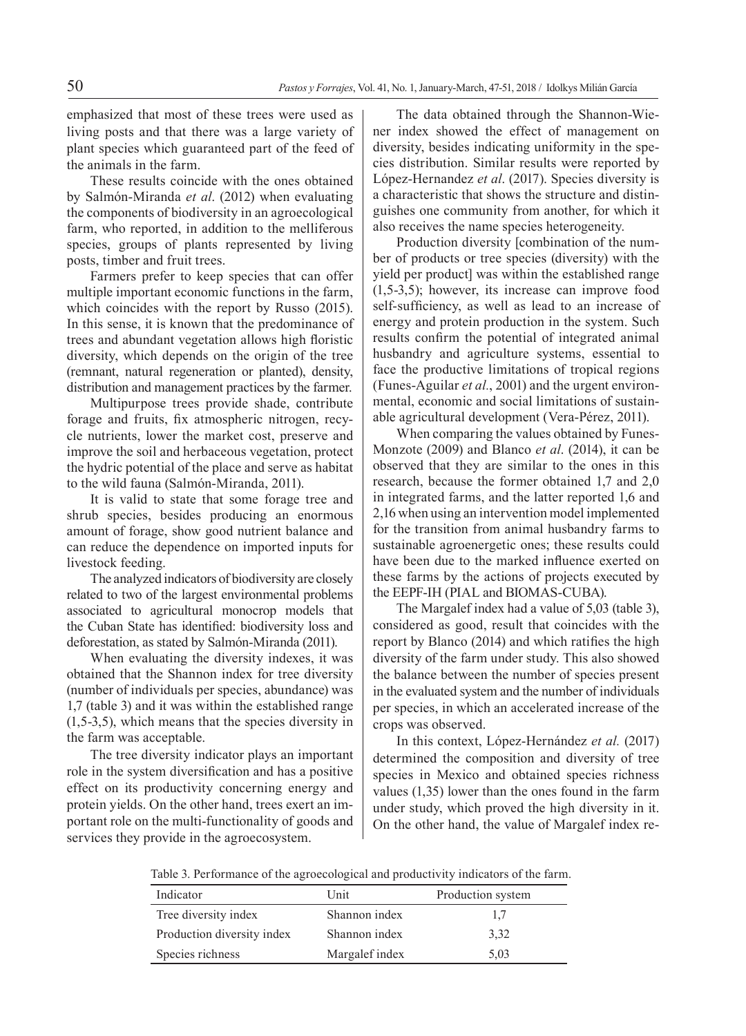emphasized that most of these trees were used as living posts and that there was a large variety of plant species which guaranteed part of the feed of the animals in the farm.

These results coincide with the ones obtained by Salmón-Miranda *et al*. (2012) when evaluating the components of biodiversity in an agroecological farm, who reported, in addition to the melliferous species, groups of plants represented by living posts, timber and fruit trees.

Farmers prefer to keep species that can offer multiple important economic functions in the farm, which coincides with the report by Russo (2015). In this sense, it is known that the predominance of trees and abundant vegetation allows high floristic diversity, which depends on the origin of the tree (remnant, natural regeneration or planted), density, distribution and management practices by the farmer.

Multipurpose trees provide shade, contribute forage and fruits, fix atmospheric nitrogen, recycle nutrients, lower the market cost, preserve and improve the soil and herbaceous vegetation, protect the hydric potential of the place and serve as habitat to the wild fauna (Salmón-Miranda, 2011).

It is valid to state that some forage tree and shrub species, besides producing an enormous amount of forage, show good nutrient balance and can reduce the dependence on imported inputs for livestock feeding.

The analyzed indicators of biodiversity are closely related to two of the largest environmental problems associated to agricultural monocrop models that the Cuban State has identified: biodiversity loss and deforestation, as stated by Salmón-Miranda (2011).

When evaluating the diversity indexes, it was obtained that the Shannon index for tree diversity (number of individuals per species, abundance) was 1,7 (table 3) and it was within the established range (1,5-3,5), which means that the species diversity in the farm was acceptable.

The tree diversity indicator plays an important role in the system diversification and has a positive effect on its productivity concerning energy and protein yields. On the other hand, trees exert an important role on the multi-functionality of goods and services they provide in the agroecosystem.

The data obtained through the Shannon-Wiener index showed the effect of management on diversity, besides indicating uniformity in the species distribution. Similar results were reported by López-Hernandez *et al*. (2017). Species diversity is a characteristic that shows the structure and distinguishes one community from another, for which it also receives the name species heterogeneity.

Production diversity [combination of the number of products or tree species (diversity) with the yield per product] was within the established range (1,5-3,5); however, its increase can improve food self-sufficiency, as well as lead to an increase of energy and protein production in the system. Such results confirm the potential of integrated animal husbandry and agriculture systems, essential to face the productive limitations of tropical regions (Funes-Aguilar *et al.*, 2001) and the urgent environmental, economic and social limitations of sustainable agricultural development (Vera-Pérez, 2011).

When comparing the values obtained by Funes-Monzote (2009) and Blanco *et al*. (2014), it can be observed that they are similar to the ones in this research, because the former obtained 1,7 and 2,0 in integrated farms, and the latter reported 1,6 and 2,16 when using an intervention model implemented for the transition from animal husbandry farms to sustainable agroenergetic ones; these results could have been due to the marked influence exerted on these farms by the actions of projects executed by the EEPF-IH (PIAL and BIOMAS-CUBA).

The Margalef index had a value of 5,03 (table 3), considered as good, result that coincides with the report by Blanco (2014) and which ratifies the high diversity of the farm under study. This also showed the balance between the number of species present in the evaluated system and the number of individuals per species, in which an accelerated increase of the crops was observed.

In this context, López-Hernández *et al.* (2017) determined the composition and diversity of tree species in Mexico and obtained species richness values (1,35) lower than the ones found in the farm under study, which proved the high diversity in it. On the other hand, the value of Margalef index re-

Table 3. Performance of the agroecological and productivity indicators of the farm.

| Indicator                  | Unit           | Production system |
|----------------------------|----------------|-------------------|
| Tree diversity index       | Shannon index  | 1.7               |
| Production diversity index | Shannon index  | 3,32              |
| Species richness           | Margalef index | 5.03              |